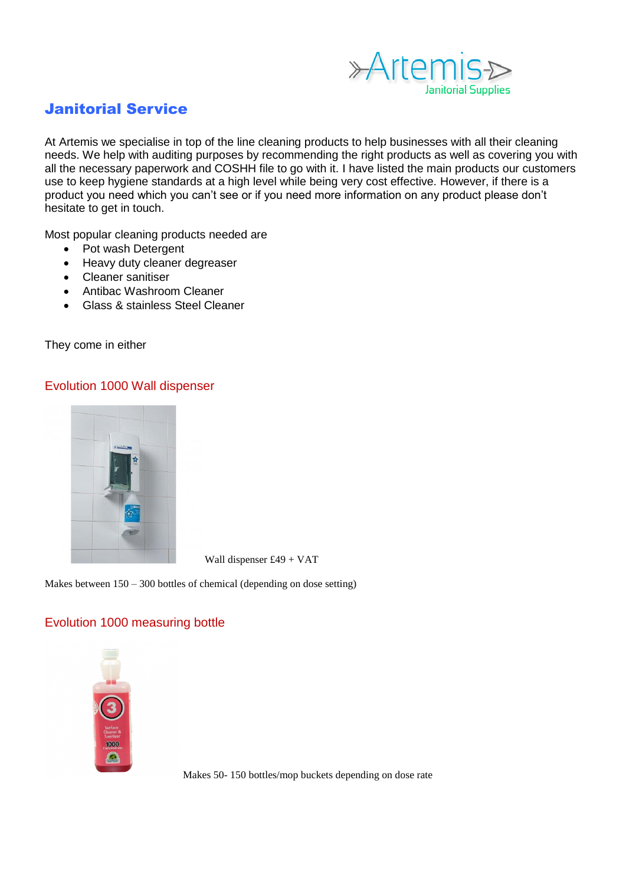

# Janitorial Service

At Artemis we specialise in top of the line cleaning products to help businesses with all their cleaning needs. We help with auditing purposes by recommending the right products as well as covering you with all the necessary paperwork and COSHH file to go with it. I have listed the main products our customers use to keep hygiene standards at a high level while being very cost effective. However, if there is a product you need which you can't see or if you need more information on any product please don't hesitate to get in touch.

Most popular cleaning products needed are

- Pot wash Detergent
- Heavy duty cleaner degreaser
- Cleaner sanitiser
- Antibac Washroom Cleaner
- Glass & stainless Steel Cleaner

They come in either

## Evolution 1000 Wall dispenser



Wall dispenser £49 + VAT

Makes between 150 – 300 bottles of chemical (depending on dose setting)

# Evolution 1000 measuring bottle



Makes 50- 150 bottles/mop buckets depending on dose rate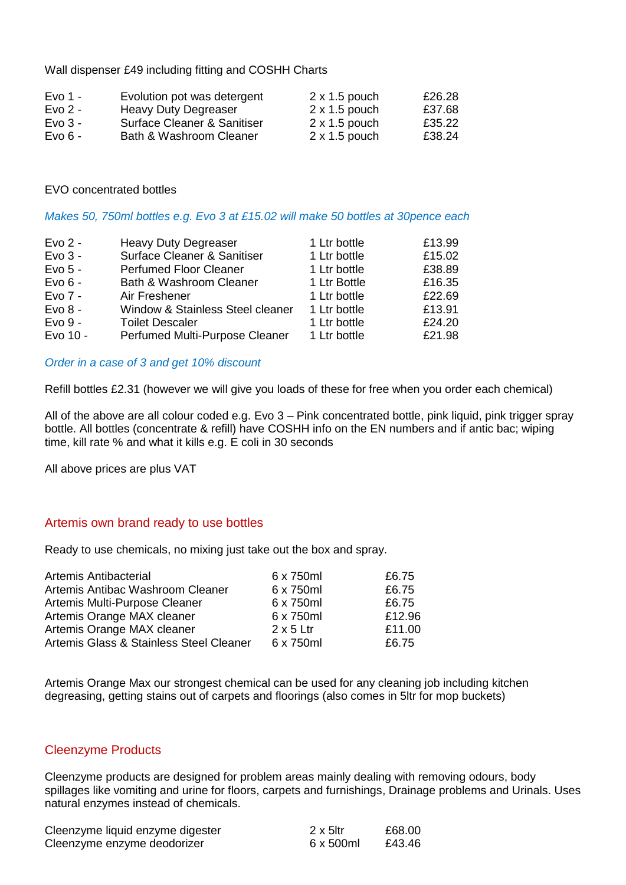Wall dispenser £49 including fitting and COSHH Charts

| Evo 1 -   | Evolution pot was detergent | $2 \times 1.5$ pouch | £26.28 |
|-----------|-----------------------------|----------------------|--------|
| Evo $2 -$ | <b>Heavy Duty Degreaser</b> | $2 \times 1.5$ pouch | £37.68 |
| Evo $3 -$ | Surface Cleaner & Sanitiser | $2 \times 1.5$ pouch | £35.22 |
| $Evo6 -$  | Bath & Washroom Cleaner     | $2 \times 1.5$ pouch | £38.24 |

#### EVO concentrated bottles

#### *Makes 50, 750ml bottles e.g. Evo 3 at £15.02 will make 50 bottles at 30pence each*

| $Evo2$ -<br><b>Heavy Duty Degreaser</b><br><b>Surface Cleaner &amp; Sanitiser</b><br>$Evo3 -$<br>Evo $5 -$<br><b>Perfumed Floor Cleaner</b><br>$Evo 6 -$<br><b>Bath &amp; Washroom Cleaner</b><br>$Evo$ 7 -<br>Air Freshener<br>$Evo 8 -$<br>Window & Stainless Steel cleaner<br>$Evo9 -$<br><b>Toilet Descaler</b><br>Evo 10 -<br>Perfumed Multi-Purpose Cleaner | 1 Ltr bottle<br>1 Ltr bottle<br>1 Ltr bottle<br>1 Ltr Bottle<br>1 Ltr bottle<br>1 Ltr bottle<br>1 Ltr bottle<br>1 Ltr bottle | £13.99<br>£15.02<br>£38.89<br>£16.35<br>£22.69<br>£13.91<br>£24.20<br>£21.98 |
|-------------------------------------------------------------------------------------------------------------------------------------------------------------------------------------------------------------------------------------------------------------------------------------------------------------------------------------------------------------------|------------------------------------------------------------------------------------------------------------------------------|------------------------------------------------------------------------------|
|-------------------------------------------------------------------------------------------------------------------------------------------------------------------------------------------------------------------------------------------------------------------------------------------------------------------------------------------------------------------|------------------------------------------------------------------------------------------------------------------------------|------------------------------------------------------------------------------|

#### *Order in a case of 3 and get 10% discount*

Refill bottles £2.31 (however we will give you loads of these for free when you order each chemical)

All of the above are all colour coded e.g. Evo 3 – Pink concentrated bottle, pink liquid, pink trigger spray bottle. All bottles (concentrate & refill) have COSHH info on the EN numbers and if antic bac; wiping time, kill rate % and what it kills e.g. E coli in 30 seconds

All above prices are plus VAT

### Artemis own brand ready to use bottles

Ready to use chemicals, no mixing just take out the box and spray.

| Artemis Antibacterial                   | 6 x 750ml        | £6.75  |
|-----------------------------------------|------------------|--------|
| Artemis Antibac Washroom Cleaner        | 6 x 750ml        | £6.75  |
| Artemis Multi-Purpose Cleaner           | 6 x 750ml        | £6.75  |
| Artemis Orange MAX cleaner              | 6 x 750ml        | £12.96 |
| Artemis Orange MAX cleaner              | $2 \times 5$ Ltr | £11.00 |
| Artemis Glass & Stainless Steel Cleaner | 6 x 750ml        | £6.75  |

Artemis Orange Max our strongest chemical can be used for any cleaning job including kitchen degreasing, getting stains out of carpets and floorings (also comes in 5ltr for mop buckets)

#### Cleenzyme Products

Cleenzyme products are designed for problem areas mainly dealing with removing odours, body spillages like vomiting and urine for floors, carpets and furnishings, Drainage problems and Urinals. Uses natural enzymes instead of chemicals.

| Cleenzyme liquid enzyme digester | $2 \times 5$ ltr | £68.00 |
|----------------------------------|------------------|--------|
| Cleenzyme enzyme deodorizer      | 6 x 500ml        | £43.46 |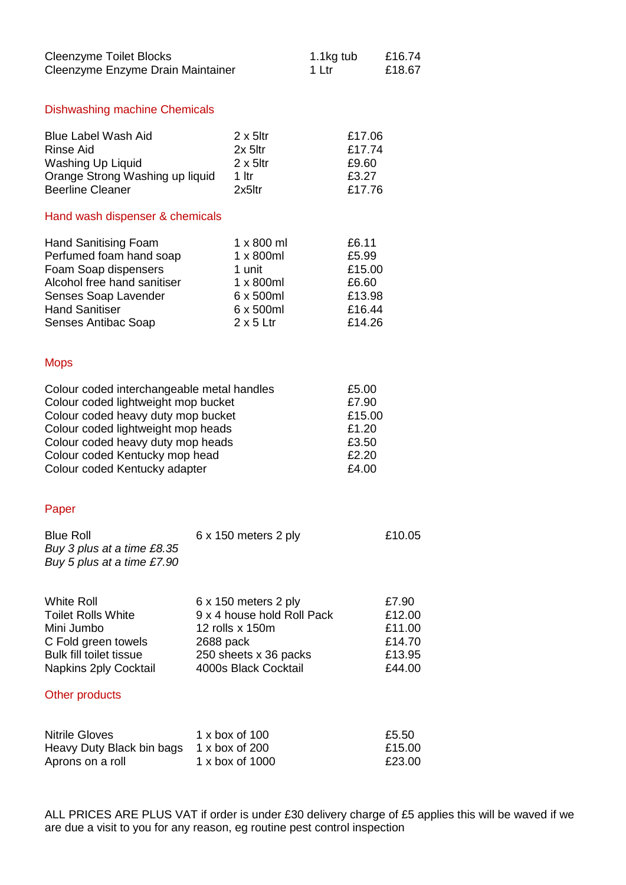| <b>Cleenzyme Toilet Blocks</b><br>Cleenzyme Enzyme Drain Maintainer                                                                                                                                                                                                   |                                                                                                                                     | 1.1kg tub<br>1 Ltr                                                                                   |                                                              | £16.74<br>£18.67                                                |                           |
|-----------------------------------------------------------------------------------------------------------------------------------------------------------------------------------------------------------------------------------------------------------------------|-------------------------------------------------------------------------------------------------------------------------------------|------------------------------------------------------------------------------------------------------|--------------------------------------------------------------|-----------------------------------------------------------------|---------------------------|
| <b>Dishwashing machine Chemicals</b>                                                                                                                                                                                                                                  |                                                                                                                                     |                                                                                                      |                                                              |                                                                 |                           |
| <b>Blue Label Wash Aid</b><br><b>Rinse Aid</b><br><b>Washing Up Liquid</b><br>Orange Strong Washing up liquid<br><b>Beerline Cleaner</b>                                                                                                                              | $2 \times 5$ ltr<br>$2x$ 5ltr<br>$2 \times 5$ ltr<br>$1$ ltr<br>2x5ltr                                                              |                                                                                                      | £17.06<br>£17.74<br>£9.60<br>£3.27<br>£17.76                 |                                                                 |                           |
| Hand wash dispenser & chemicals                                                                                                                                                                                                                                       |                                                                                                                                     |                                                                                                      |                                                              |                                                                 |                           |
| <b>Hand Sanitising Foam</b><br>Perfumed foam hand soap<br>Foam Soap dispensers<br>Alcohol free hand sanitiser<br>Senses Soap Lavender<br><b>Hand Sanitiser</b><br>Senses Antibac Soap                                                                                 |                                                                                                                                     | 1 x 800 ml<br>$1 \times 800$ ml<br>1 unit<br>1 x 800ml<br>6 x 500ml<br>6 x 500ml<br>$2 \times 5$ Ltr |                                                              | £6.11<br>£5.99<br>£15.00<br>£6.60<br>£13.98<br>£16.44<br>£14.26 |                           |
| <b>Mops</b>                                                                                                                                                                                                                                                           |                                                                                                                                     |                                                                                                      |                                                              |                                                                 |                           |
| Colour coded interchangeable metal handles<br>Colour coded lightweight mop bucket<br>Colour coded heavy duty mop bucket<br>Colour coded lightweight mop heads<br>Colour coded heavy duty mop heads<br>Colour coded Kentucky mop head<br>Colour coded Kentucky adapter |                                                                                                                                     |                                                                                                      | £5.00<br>£7.90<br>£15.00<br>£1.20<br>£3.50<br>£2.20<br>£4.00 |                                                                 |                           |
| Paper                                                                                                                                                                                                                                                                 |                                                                                                                                     |                                                                                                      |                                                              |                                                                 |                           |
| <b>Blue Roll</b><br>Buy 3 plus at a time £8.35<br>Buy 5 plus at a time £7.90                                                                                                                                                                                          |                                                                                                                                     | 6 x 150 meters 2 ply                                                                                 |                                                              |                                                                 | £10.05                    |
| <b>White Roll</b><br><b>Toilet Rolls White</b><br>Mini Jumbo<br>C Fold green towels<br><b>Bulk fill toilet tissue</b><br><b>Napkins 2ply Cocktail</b><br>Other products                                                                                               | 6 x 150 meters 2 ply<br>9 x 4 house hold Roll Pack<br>12 rolls x 150m<br>2688 pack<br>250 sheets x 36 packs<br>4000s Black Cocktail |                                                                                                      |                                                              | £7.90<br>£12.00<br>£11.00<br>£14.70<br>£13.95<br>£44.00         |                           |
|                                                                                                                                                                                                                                                                       |                                                                                                                                     |                                                                                                      |                                                              |                                                                 |                           |
| <b>Nitrile Gloves</b><br>Heavy Duty Black bin bags<br>Aprons on a roll                                                                                                                                                                                                |                                                                                                                                     | 1 x box of 100<br>1 x box of 200<br>1 x box of 1000                                                  |                                                              |                                                                 | £5.50<br>£15.00<br>£23.00 |

ALL PRICES ARE PLUS VAT if order is under £30 delivery charge of £5 applies this will be waved if we are due a visit to you for any reason, eg routine pest control inspection